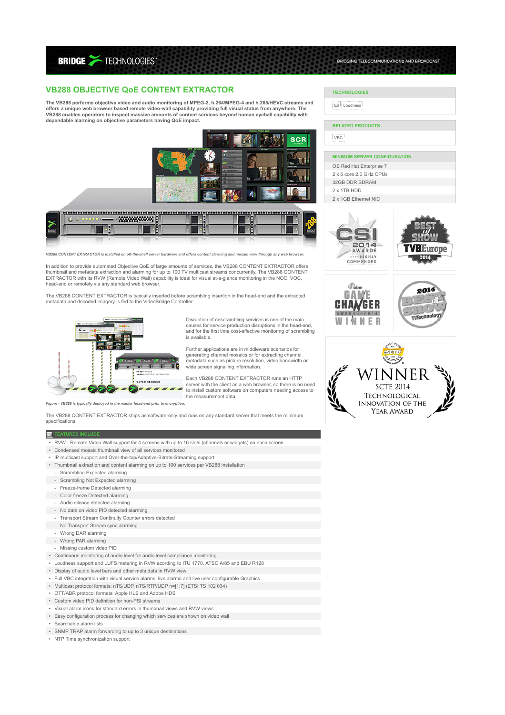**BRIDGE >TECHNOLOGIES** 

# **VB288 OBJECTIVE QoE CONTENT EXTRACTOR**

**The VB288 performs objective video and audio monitoring of MPEG-2, h.264/MPEG-4 and h.265/HEVC streams and offers a unique web browser based remote video-wall capability providing full visual status from anywhere. The VB288 enables operators to inspect massive amounts of content services beyond human eyeball capability with dependable alarming on objective parameters having QoE impact.**



*VB288 CONTENT EXTRACTOR is installed on off-the-shelf server hardware and offers content alarming and mosaic view through any web browser.*

In addition to provide automated Objective QoE of large amounts of services, the VB288 CONTENT EXTRACTOR offers<br>thumbnail and metadata extraction and alarming for up to 100 TV multicast streams concurrently. The VB288 CONT EXTRACTOR with its RVW (Remote Video Wall) capability is ideal for visual at-a-glance monitoring in the NOC, VOC, head-end or remotely via any standard web browser.

The VB288 CONTENT EXTRACTOR is typically inserted before scrambling insertion in the head-end and the extracted metadata and decoded imagery is fed to the VideoBridge Controller.



Disruption of descrambling services is one of the main causes for service production disruptions in the head-end, and for the first time cost-effective monitoring of scrambling is available.

Further applications are in middleware scenarios for generating channel mosaics or for extracting channel metadata such as picture resolution, video bandwidth or wide screen signalling information.

Each VB288 CONTENT EXTRACTOR runs an HTTP server with the client as a web browser, so there is no need to install custom software on computers needing access to the measurement data.

*Figure - VB288 is typically deployed in the master head-end prior to encryption.*

The VB288 CONTENT EXTRACTOR ships as software-only and runs on any standard server that meets the minimum specifications.

#### **E** FEATURE

• RVW - Remote Video Wall support for 4 screens with up to 16 slots (channels or widgets) on each screen

- Condensed mosaic thumbnail view of all services monitored
- IP multicast support and Over-the-top/Adaptive-Bitrate-Streaming support
- Thumbnail extraction and content alarming on up to 100 services per VB288 installation
- Scrambling Expected alarming
- Scrambling Not Expected alarming
	- Freeze-frame Detected alarming
- Color freeze Detected alarming
	- Audio silence detected alarming
- No data on video PID detected alarming
	- Transport Stream Continuity Counter errors detected
- No Transport Stream sync alarming
	- Wrong DAR alarming
	-
- Wrong PAR alarming
- Missing custom video PID
- Continuous monitoring of audio level for audio level compliance monitoring
- Loudness support and LUFS metering in RVW acording to ITU 1770, ATSC A/85 and EBU R128
- Display of audio level bars and other meta data in RVW view
- Full VBC integration with visual service alarms, live alarms and live user configurable Graphics
- Multicast protocol formats: nTS/UDP, nTS/RTP/UDP n=[1:7] (ETSI TS 102 034)
- OTT/ABR protocol formats: Apple HLS and Adobe HDS
- Custom video PID definition for non-PSI streams
- Visual alarm icons for standard errors in thumbnail views and RVW views
- Easy configuration process for changing which services are shown on video wall
- Searchable alarm lists
- SNMP TRAP alarm forwarding to up to 3 unique destinations
- NTP Time synchronization support

# **TECHNOLOGIES**

Eii | Loudness |

### **RELATED PRODUCTS**

VBC

#### **MINIMUM SERVER CONFIGURATION**

BRIDGING TELECOMMUNCATIONS AND BROADCAST

- OS Red Hat Enterprise 7
- 2 x 6 core 2.0 GHz CPUs
- 32GB DDR SDRAM
- 2 x 1TB HDD
- 2 x 1GB Ethernet NIC